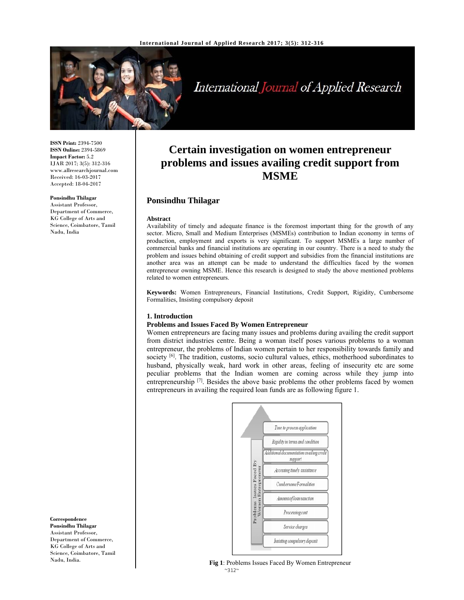

International Journal of Applied Research

**ISSN Print:** 2394-7500 **ISSN Online:** 2394-5869 **Impact Factor:** 5.2 IJAR 2017; 3(5): 312-316 www.allresearchjournal.com Received: 16-03-2017 Accepted: 18-04-2017

#### **Ponsindhu Thilagar**

Assistant Professor, Department of Commerce, KG College of Arts and Science, Coimbatore, Tamil Nadu, India

**Correspondence Ponsindhu Thilagar**  Assistant Professor, Department of Commerce, KG College of Arts and Science, Coimbatore, Tamil Nadu, India.

# **Certain investigation on women entrepreneur problems and issues availing credit support from MSME**

## **Ponsindhu Thilagar**

#### **Abstract**

Availability of timely and adequate finance is the foremost important thing for the growth of any sector. Micro, Small and Medium Enterprises (MSMEs) contribution to Indian economy in terms of production, employment and exports is very significant. To support MSMEs a large number of commercial banks and financial institutions are operating in our country. There is a need to study the problem and issues behind obtaining of credit support and subsidies from the financial institutions are another area was an attempt can be made to understand the difficulties faced by the women entrepreneur owning MSME. Hence this research is designed to study the above mentioned problems related to women entrepreneurs.

**Keywords:** Women Entrepreneurs, Financial Institutions, Credit Support, Rigidity, Cumbersome Formalities, Insisting compulsory deposit

#### **1. Introduction**

## **Problems and Issues Faced By Women Entrepreneur**

Women entrepreneurs are facing many issues and problems during availing the credit support from district industries centre. Being a woman itself poses various problems to a woman entrepreneur, the problems of Indian women pertain to her responsibility towards family and society <sup>[6]</sup>. The tradition, customs, socio cultural values, ethics, motherhood subordinates to husband, physically weak, hard work in other areas, feeling of insecurity etc are some peculiar problems that the Indian women are coming across while they jump into entrepreneurship  $[7]$ . Besides the above basic problems the other problems faced by women entrepreneurs in availing the required loan funds are as following figure 1.



 $~312~$ **Fig 1**: Problems Issues Faced By Women Entrepreneur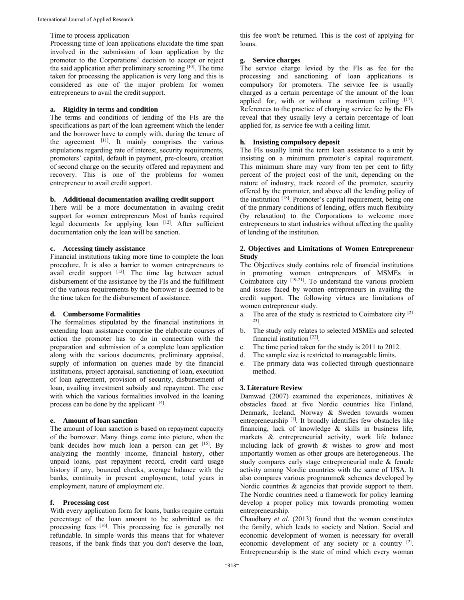#### Time to process application

Processing time of loan applications elucidate the time span involved in the submission of loan application by the promoter to the Corporations' decision to accept or reject the said application after preliminary screening [10]. The time taken for processing the application is very long and this is considered as one of the major problem for women entrepreneurs to avail the credit support.

#### **a. Rigidity in terms and condition**

The terms and conditions of lending of the FIs are the specifications as part of the loan agreement which the lender and the borrower have to comply with, during the tenure of the agreement [11]. It mainly comprises the various stipulations regarding rate of interest, security requirements, promoters' capital, default in payment, pre-closure, creation of second charge on the security offered and repayment and recovery. This is one of the problems for women entrepreneur to avail credit support.

#### **b. Additional documentation availing credit support**

There will be a more documentation in availing credit support for women entrepreneurs Most of banks required legal documents for applying loan  $[12]$ . After sufficient documentation only the loan will be sanction.

#### **c. Accessing timely assistance**

Financial institutions taking more time to complete the loan procedure. It is also a barrier to women entrepreneurs to avail credit support [13]. The time lag between actual disbursement of the assistance by the FIs and the fulfillment of the various requirements by the borrower is deemed to be the time taken for the disbursement of assistance.

#### **d. Cumbersome Formalities**

The formalities stipulated by the financial institutions in extending loan assistance comprise the elaborate courses of action the promoter has to do in connection with the preparation and submission of a complete loan application along with the various documents, preliminary appraisal, supply of information on queries made by the financial institutions, project appraisal, sanctioning of loan, execution of loan agreement, provision of security, disbursement of loan, availing investment subsidy and repayment. The ease with which the various formalities involved in the loaning process can be done by the applicant [14].

#### **e. Amount of loan sanction**

The amount of loan sanction is based on repayment capacity of the borrower. Many things come into picture, when the bank decides how much loan a person can get [15]. By analyzing the monthly income, financial history, other unpaid loans, past repayment record, credit card usage history if any, bounced checks, average balance with the banks, continuity in present employment, total years in employment, nature of employment etc.

#### **f. Processing cost**

With every application form for loans, banks require certain percentage of the loan amount to be submitted as the processing fees [16]. This processing fee is generally not refundable. In simple words this means that for whatever reasons, if the bank finds that you don't deserve the loan,

this fee won't be returned. This is the cost of applying for loans.

## **g. Service charges**

The service charge levied by the FIs as fee for the processing and sanctioning of loan applications is compulsory for promoters. The service fee is usually charged as a certain percentage of the amount of the loan applied for, with or without a maximum ceiling  $[17]$ . References to the practice of charging service fee by the FIs reveal that they usually levy a certain percentage of loan applied for, as service fee with a ceiling limit.

#### **h. Insisting compulsory deposit**

The FIs usually limit the term loan assistance to a unit by insisting on a minimum promoter's capital requirement. This minimum share may vary from ten per cent to fifty percent of the project cost of the unit, depending on the nature of industry, track record of the promoter, security offered by the promoter, and above all the lending policy of the institution [18]. Promoter's capital requirement, being one of the primary conditions of lending, offers much flexibility (by relaxation) to the Corporations to welcome more entrepreneurs to start industries without affecting the quality of lending of the institution.

#### **2. Objectives and Limitations of Women Entrepreneur Study**

The Objectives study contains role of financial institutions in promoting women entrepreneurs of MSMEs in Coimbatore city [19-21]. To understand the various problem and issues faced by women entrepreneurs in availing the credit support. The following virtues are limitations of women entrepreneur study.

- a. The area of the study is restricted to Coimbatore city  $[2]$ 23].
- b. The study only relates to selected MSMEs and selected financial institution [22].
- c. The time period taken for the study is 2011 to 2012.
- d. The sample size is restricted to manageable limits.
- e. The primary data was collected through questionnaire method.

#### **3. Literature Review**

Damwad (2007) examined the experiences, initiatives  $\&$ obstacles faced at five Nordic countries like Finland, Denmark, Iceland, Norway & Sweden towards women entrepreneurship [1]. It broadly identifies few obstacles like financing, lack of knowledge & skills in business life, markets & entrepreneurial activity, work life balance including lack of growth & wishes to grow and most importantly women as other groups are heterogeneous. The study compares early stage entrepreneurial male & female activity among Nordic countries with the same of USA. It also compares various programme& schemes developed by Nordic countries & agencies that provide support to them. The Nordic countries need a framework for policy learning develop a proper policy mix towards promoting women entrepreneurship.

Chaudhary *et al*. (2013) found that the woman constitutes the family, which leads to society and Nation. Social and economic development of women is necessary for overall economic development of any society or a country [2]. Entrepreneurship is the state of mind which every woman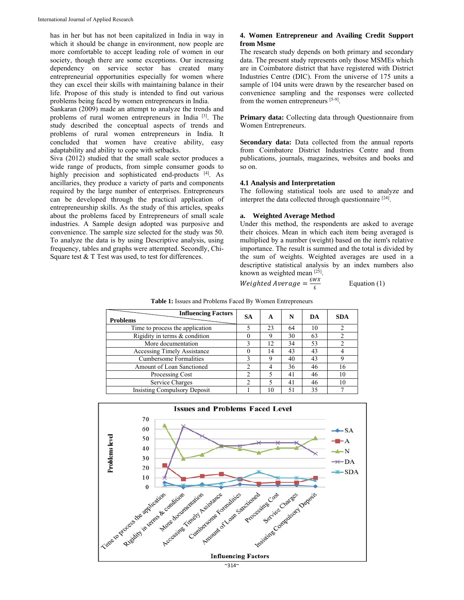has in her but has not been capitalized in India in way in which it should be change in environment, now people are more comfortable to accept leading role of women in our society, though there are some exceptions. Our increasing dependency on service sector has created many entrepreneurial opportunities especially for women where they can excel their skills with maintaining balance in their life. Propose of this study is intended to find out various problems being faced by women entrepreneurs in India.

Sankaran (2009) made an attempt to analyze the trends and problems of rural women entrepreneurs in India [3]. The study described the conceptual aspects of trends and problems of rural women entrepreneurs in India. It concluded that women have creative ability, easy adaptability and ability to cope with setbacks.

Siva (2012) studied that the small scale sector produces a wide range of products, from simple consumer goods to highly precision and sophisticated end-products [4]. As ancillaries, they produce a variety of parts and components required by the large number of enterprises. Entrepreneurs can be developed through the practical application of entrepreneurship skills. As the study of this articles, speaks about the problems faced by Entrepreneurs of small scale industries. A Sample design adopted was purposive and convenience. The sample size selected for the study was 50. To analyze the data is by using Descriptive analysis, using frequency, tables and graphs were attempted. Secondly, Chi-Square test & T Test was used, to test for differences.

#### **4. Women Entrepreneur and Availing Credit Support from Msme**

The research study depends on both primary and secondary data. The present study represents only those MSMEs which are in Coimbatore district that have registered with District Industries Centre (DIC). From the universe of 175 units a sample of 104 units were drawn by the researcher based on convenience sampling and the responses were collected from the women entrepreneurs [5-9].

**Primary data:** Collecting data through Questionnaire from Women Entrepreneurs.

**Secondary data:** Data collected from the annual reports from Coimbatore District Industries Centre and from publications, journals, magazines, websites and books and so on.

#### **4.1 Analysis and Interpretation**

The following statistical tools are used to analyze and interpret the data collected through questionnaire [24].

#### **a. Weighted Average Method**

Under this method, the respondents are asked to average their choices. Mean in which each item being averaged is multiplied by a number (weight) based on the item's relative importance. The result is summed and the total is divided by the sum of weights. Weighted averages are used in a descriptive statistical analysis by an index numbers also known as weighted mean [25].

Weighted Average  $=\frac{EWX}{c}$ Equation  $(1)$ 

| <b>Influencing Factors</b><br><b>Problems</b> | <b>SA</b>      | A   | N  | DA | <b>SDA</b> |
|-----------------------------------------------|----------------|-----|----|----|------------|
| Time to process the application               |                | 23  | 64 | 10 |            |
| Rigidity in terms & condition                 | 0              | 9   | 30 | 63 |            |
| More documentation                            |                | 12. | 34 | 53 |            |
| <b>Accessing Timely Assistance</b>            | 0              | 14  | 43 | 43 |            |
| <b>Cumbersome Formalities</b>                 |                | 9   | 40 | 43 | 9          |
| Amount of Loan Sanctioned                     | 2              |     | 36 | 46 | 16         |
| Processing Cost                               | 2              |     | 41 | 46 | 10         |
| Service Charges                               | $\mathfrak{D}$ |     | 41 | 46 | 10         |
| <b>Insisting Compulsory Deposit</b>           |                | 10  | 51 | 35 |            |

**Table 1:** Issues and Problems Faced By Women Entrepreneurs

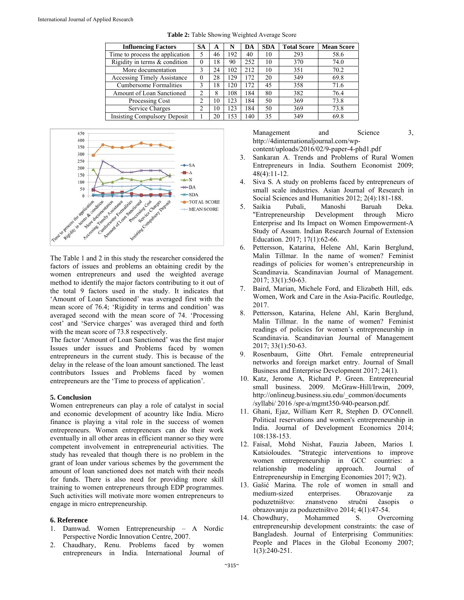| <b>Influencing Factors</b>          | SA | A  | N   | DA  | <b>SDA</b> | <b>Total Score</b> | <b>Mean Score</b> |
|-------------------------------------|----|----|-----|-----|------------|--------------------|-------------------|
| Time to process the application     |    | 46 | 192 | 40  | 10         | 293                | 58.6              |
| Rigidity in terms $&$ condition     | 0  | 18 | 90  | 252 | 10         | 370                | 74.0              |
| More documentation                  | 3  | 24 | 102 | 212 | 10         | 351                | 70.2              |
| <b>Accessing Timely Assistance</b>  | 0  | 28 | 129 | 172 | 20         | 349                | 69.8              |
| <b>Cumbersome Formalities</b>       |    | 18 | 120 | 172 | 45         | 358                | 71.6              |
| Amount of Loan Sanctioned           | 2  | 8  | 108 | 184 | 80         | 382                | 76.4              |
| Processing Cost                     | ∍  | 10 | 123 | 184 | 50         | 369                | 73.8              |
| Service Charges                     | ∍  | 10 | 123 | 184 | 50         | 369                | 73.8              |
| <b>Insisting Compulsory Deposit</b> |    | 20 | 153 | 140 | 35         | 349                | 69.8              |

**Table 2:** Table Showing Weighted Average Score



The Table 1 and 2 in this study the researcher considered the factors of issues and problems an obtaining credit by the women entrepreneurs and used the weighted average method to identify the major factors contributing to it out of the total 9 factors used in the study. It indicates that 'Amount of Loan Sanctioned' was averaged first with the mean score of 76.4; 'Rigidity in terms and condition' was averaged second with the mean score of 74. 'Processing cost' and 'Service charges' was averaged third and forth with the mean score of 73.8 respectively.

The factor 'Amount of Loan Sanctioned' was the first major Issues under issues and Problems faced by women entrepreneurs in the current study. This is because of the delay in the release of the loan amount sanctioned. The least contributors Issues and Problems faced by women entrepreneurs are the 'Time to process of application'.

## **5. Conclusion**

Women entrepreneurs can play a role of catalyst in social and economic development of acountry like India. Micro finance is playing a vital role in the success of women entrepreneurs. Women entrepreneurs can do their work eventually in all other areas in efficient manner so they were competent involvement in entrepreneurial activities. The study has revealed that though there is no problem in the grant of loan under various schemes by the government the amount of loan sanctioned does not match with their needs for funds. There is also need for providing more skill training to women entrepreneurs through EDP programmes. Such activities will motivate more women entrepreneurs to engage in micro entrepreneurship.

#### **6. Reference**

- 1. Damwad. Women Entrepreneurship A Nordic Perspective Nordic Innovation Centre, 2007.
- 2. Chaudhary, Renu. Problems faced by women entrepreneurs in India. International Journal of

Management and Science 3, http://4dinternationaljournal.com/wpcontent/uploads/2016/02/9-paper-4-phd1.pdf

- 3. Sankaran A. Trends and Problems of Rural Women Entrepreneurs in India. Southern Economist 2009; 48(4):11-12.
- Siva S. A study on problems faced by entrepreneurs of small scale industries. Asian Journal of Research in Social Sciences and Humanities 2012; 2(4):181-188.
- 5. Saikia Pubali, Manoshi Baruah Deka. "Entrepreneurship Development through Micro Enterprise and Its Impact on Women Empowerment-A Study of Assam. Indian Research Journal of Extension Education. 2017; 17(1):62-66.
- 6. Pettersson, Katarina, Helene Ahl, Karin Berglund, Malin Tillmar. In the name of women? Feminist readings of policies for women's entrepreneurship in Scandinavia. Scandinavian Journal of Management. 2017; 33(1):50-63.
- 7. Baird, Marian, Michele Ford, and Elizabeth Hill, eds. Women, Work and Care in the Asia-Pacific. Routledge, 2017.
- 8. Pettersson, Katarina, Helene Ahl, Karin Berglund, Malin Tillmar. In the name of women? Feminist readings of policies for women's entrepreneurship in Scandinavia. Scandinavian Journal of Management 2017; 33(1):50-63.
- 9. Rosenbaum, Gitte Ohrt. Female entrepreneurial networks and foreign market entry. Journal of Small Business and Enterprise Development 2017; 24(1).
- 10. Katz, Jerome A, Richard P. Green. Entrepreneurial small business. 2009. McGraw-Hill/Irwin, 2009, http://onlineug.business.siu.edu/\_common/documents /syllabi/ 2016 /spr-a/mgmt350-940-pearson.pdf.
- 11. Ghani, Ejaz, William Kerr R, Stephen D. O'Connell. Political reservations and women's entrepreneurship in India. Journal of Development Economics 2014; 108:138-153.
- 12. Faisal, Mohd Nishat, Fauzia Jabeen, Marios I. Katsioloudes. "Strategic interventions to improve women entrepreneurship in GCC countries: a relationship modeling approach. Journal of Entrepreneurship in Emerging Economies 2017; 9(2).
- 13. Gašić Marina. The role of women in small and medium-sized enterprises. Obrazovanje za poduzetništvo: znanstveno stručni časopis o obrazovanju za poduzetništvo 2014; 4(1):47-54.
- 14. Chowdhury, Mohammed S. Overcoming entrepreneurship development constraints: the case of Bangladesh. Journal of Enterprising Communities: People and Places in the Global Economy 2007; 1(3):240-251.